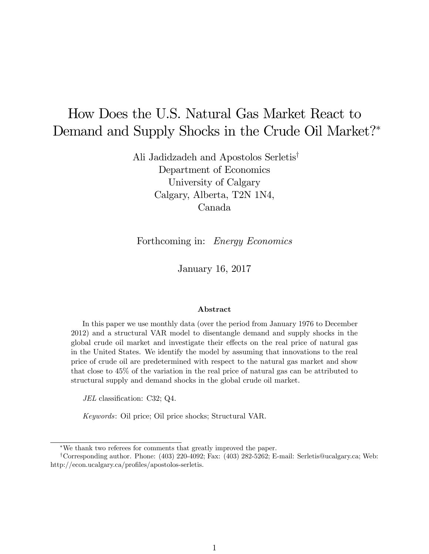# How Does the U.S. Natural Gas Market React to Demand and Supply Shocks in the Crude Oil Market?\*

Ali Jadidzadeh and Apostolos Serletis<sup>†</sup> Department of Economics University of Calgary Calgary, Alberta, T2N 1N4, Canada

Forthcoming in: Energy Economics

January 16, 2017

#### Abstract

In this paper we use monthly data (over the period from January 1976 to December 2012) and a structural VAR model to disentangle demand and supply shocks in the global crude oil market and investigate their effects on the real price of natural gas in the United States. We identify the model by assuming that innovations to the real price of crude oil are predetermined with respect to the natural gas market and show that close to 45% of the variation in the real price of natural gas can be attributed to structural supply and demand shocks in the global crude oil market.

 $JEL$  classification: C32; Q4.

Keywords: Oil price; Oil price shocks; Structural VAR.

We thank two referees for comments that greatly improved the paper.

<sup>&</sup>lt;sup>†</sup>Corresponding author. Phone: (403) 220-4092; Fax: (403) 282-5262; E-mail: Serletis@ucalgary.ca; Web: http://econ.ucalgary.ca/profiles/apostolos-serletis.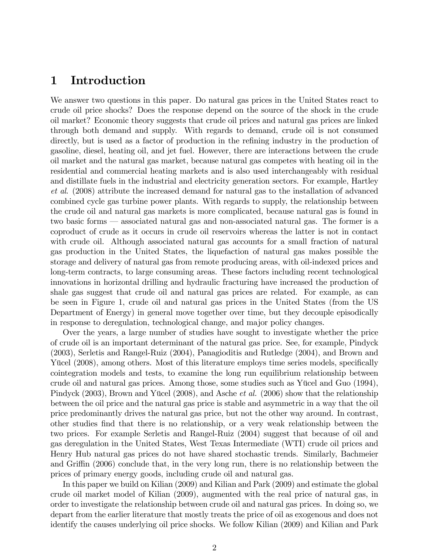### 1 Introduction

We answer two questions in this paper. Do natural gas prices in the United States react to crude oil price shocks? Does the response depend on the source of the shock in the crude oil market? Economic theory suggests that crude oil prices and natural gas prices are linked through both demand and supply. With regards to demand, crude oil is not consumed directly, but is used as a factor of production in the refining industry in the production of gasoline, diesel, heating oil, and jet fuel. However, there are interactions between the crude oil market and the natural gas market, because natural gas competes with heating oil in the residential and commercial heating markets and is also used interchangeably with residual and distillate fuels in the industrial and electricity generation sectors. For example, Hartley et al. (2008) attribute the increased demand for natural gas to the installation of advanced combined cycle gas turbine power plants. With regards to supply, the relationship between the crude oil and natural gas markets is more complicated, because natural gas is found in two basic forms — associated natural gas and non-associated natural gas. The former is a coproduct of crude as it occurs in crude oil reservoirs whereas the latter is not in contact with crude oil. Although associated natural gas accounts for a small fraction of natural gas production in the United States, the liquefaction of natural gas makes possible the storage and delivery of natural gas from remote producing areas, with oil-indexed prices and long-term contracts, to large consuming areas. These factors including recent technological innovations in horizontal drilling and hydraulic fracturing have increased the production of shale gas suggest that crude oil and natural gas prices are related. For example, as can be seen in Figure 1, crude oil and natural gas prices in the United States (from the US Department of Energy) in general move together over time, but they decouple episodically in response to deregulation, technological change, and major policy changes.

Over the years, a large number of studies have sought to investigate whether the price of crude oil is an important determinant of the natural gas price. See, for example, Pindyck (2003), Serletis and Rangel-Ruiz (2004), Panagioditis and Rutledge (2004), and Brown and Yücel (2008), among others. Most of this literature employs time series models, specifically cointegration models and tests, to examine the long run equilibrium relationship between crude oil and natural gas prices. Among those, some studies such as Yucel and Guo (1994), Pindyck (2003), Brown and Yücel (2008), and Asche *et al.* (2006) show that the relationship between the oil price and the natural gas price is stable and asymmetric in a way that the oil price predominantly drives the natural gas price, but not the other way around. In contrast, other studies Önd that there is no relationship, or a very weak relationship between the two prices. For example Serletis and Rangel-Ruiz (2004) suggest that because of oil and gas deregulation in the United States, West Texas Intermediate (WTI) crude oil prices and Henry Hub natural gas prices do not have shared stochastic trends. Similarly, Bachmeier and Griffin (2006) conclude that, in the very long run, there is no relationship between the prices of primary energy goods, including crude oil and natural gas.

In this paper we build on Kilian (2009) and Kilian and Park (2009) and estimate the global crude oil market model of Kilian (2009), augmented with the real price of natural gas, in order to investigate the relationship between crude oil and natural gas prices. In doing so, we depart from the earlier literature that mostly treats the price of oil as exogenous and does not identify the causes underlying oil price shocks. We follow Kilian (2009) and Kilian and Park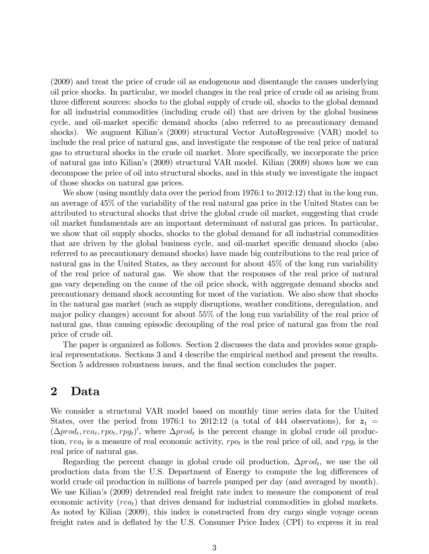(2009) and treat the price of crude oil as endogenous and disentangle the causes underlying oil price shocks. In particular, we model changes in the real price of crude oil as arising from three different sources: shocks to the global supply of crude oil, shocks to the global demand for all industrial commodities (including crude oil) that are driven by the global business cycle, and oil-market specific demand shocks (also referred to as precautionary demand shocks). We augment Kilianís (2009) structural Vector AutoRegressive (VAR) model to include the real price of natural gas, and investigate the response of the real price of natural gas to structural shocks in the crude oil market. More specifically, we incorporate the price of natural gas into Kilianís (2009) structural VAR model. Kilian (2009) shows how we can decompose the price of oil into structural shocks, and in this study we investigate the impact of those shocks on natural gas prices.

We show (using monthly data over the period from 1976:1 to 2012:12) that in the long run, an average of 45% of the variability of the real natural gas price in the United States can be attributed to structural shocks that drive the global crude oil market, suggesting that crude oil market fundamentals are an important determinant of natural gas prices. In particular, we show that oil supply shocks, shocks to the global demand for all industrial commodities that are driven by the global business cycle, and oil-market specific demand shocks (also referred to as precautionary demand shocks) have made big contributions to the real price of natural gas in the United States, as they account for about 45% of the long run variability of the real price of natural gas. We show that the responses of the real price of natural gas vary depending on the cause of the oil price shock, with aggregate demand shocks and precautionary demand shock accounting for most of the variation. We also show that shocks in the natural gas market (such as supply disruptions, weather conditions, deregulation, and major policy changes) account for about 55% of the long run variability of the real price of natural gas, thus causing episodic decoupling of the real price of natural gas from the real price of crude oil.

The paper is organized as follows. Section 2 discusses the data and provides some graphical representations. Sections 3 and 4 describe the empirical method and present the results. Section 5 addresses robustness issues, and the final section concludes the paper.

#### 2 Data

We consider a structural VAR model based on monthly time series data for the United States, over the period from 1976:1 to 2012:12 (a total of 444 observations), for  $z_t =$  $(\Delta prod_t,rea_t, rpo_t, rpg_t)'$ , where  $\Delta prod_t$  is the percent change in global crude oil production,  $rea_t$  is a measure of real economic activity,  $rpo_t$  is the real price of oil, and  $rpg_t$  is the real price of natural gas.

Regarding the percent change in global crude oil production,  $\Delta prod_t$ , we use the oil production data from the U.S. Department of Energy to compute the log differences of world crude oil production in millions of barrels pumped per day (and averaged by month). We use Kilian's (2009) detrended real freight rate index to measure the component of real economic activity ( $rea<sub>t</sub>$ ) that drives demand for industrial commodities in global markets. As noted by Kilian (2009), this index is constructed from dry cargo single voyage ocean freight rates and is deflated by the U.S. Consumer Price Index (CPI) to express it in real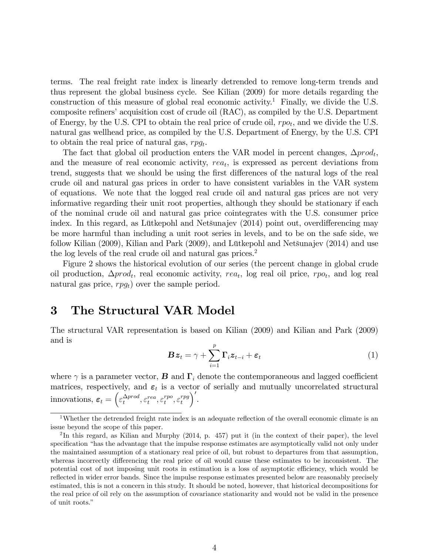terms. The real freight rate index is linearly detrended to remove long-term trends and thus represent the global business cycle. See Kilian (2009) for more details regarding the construction of this measure of global real economic activity.<sup>1</sup> Finally, we divide the U.S. composite refiners' acquisition cost of crude oil (RAC), as compiled by the U.S. Department of Energy, by the U.S. CPI to obtain the real price of crude oil,  $rpo_t$ , and we divide the U.S. natural gas wellhead price, as compiled by the U.S. Department of Energy, by the U.S. CPI to obtain the real price of natural gas,  $rpg_t$ .

The fact that global oil production enters the VAR model in percent changes,  $\Delta prod_t$ , and the measure of real economic activity,  $rea_t$ , is expressed as percent deviations from trend, suggests that we should be using the first differences of the natural logs of the real crude oil and natural gas prices in order to have consistent variables in the VAR system of equations. We note that the logged real crude oil and natural gas prices are not very informative regarding their unit root properties, although they should be stationary if each of the nominal crude oil and natural gas price cointegrates with the U.S. consumer price index. In this regard, as Lütkepohl and Netšunajev (2014) point out, overdifferencing may be more harmful than including a unit root series in levels, and to be on the safe side, we follow Kilian  $(2009)$ , Kilian and Park  $(2009)$ , and Lütkepohl and Netšunajev  $(2014)$  and use the log levels of the real crude oil and natural gas prices.<sup>2</sup>

Figure 2 shows the historical evolution of our series (the percent change in global crude oil production,  $\Delta prod_t$ , real economic activity, rea<sub>t</sub>, log real oil price, rpo<sub>t</sub>, and log real natural gas price,  $rpg_t$ ) over the sample period.

#### 3 The Structural VAR Model

The structural VAR representation is based on Kilian (2009) and Kilian and Park (2009) and is

$$
\boldsymbol{B}\boldsymbol{z}_{t} = \gamma + \sum_{i=1}^{p} \boldsymbol{\Gamma}_{i} \boldsymbol{z}_{t-i} + \boldsymbol{\varepsilon}_{t} \tag{1}
$$

where  $\gamma$  is a parameter vector, **B** and  $\Gamma_i$  denote the contemporaneous and lagged coefficient matrices, respectively, and  $\varepsilon_t$  is a vector of serially and mutually uncorrelated structural innovations,  $\varepsilon_t = \left(\varepsilon_t^{\Delta prod}\right)$  $_{t}^{\Delta prod},\varepsilon_{t}^{rea},\varepsilon_{t}^{rpo}$  $_{t}^{rpo}, \varepsilon_{t}^{rpg}$ t  $\Big)$ '.

<sup>&</sup>lt;sup>1</sup>Whether the detrended freight rate index is an adequate reflection of the overall economic climate is an issue beyond the scope of this paper.

 $2\text{In this regard, as Kilian and Murphy (2014, p. 457) put it (in the context of their paper), the level$ specification "has the advantage that the impulse response estimates are asymptotically valid not only under the maintained assumption of a stationary real price of oil, but robust to departures from that assumption, whereas incorrectly differencing the real price of oil would cause these estimates to be inconsistent. The potential cost of not imposing unit roots in estimation is a loss of asymptotic efficiency, which would be reflected in wider error bands. Since the impulse response estimates presented below are reasonably precisely estimated, this is not a concern in this study. It should be noted, however, that historical decompositions for the real price of oil rely on the assumption of covariance stationarity and would not be valid in the presence of unit roots."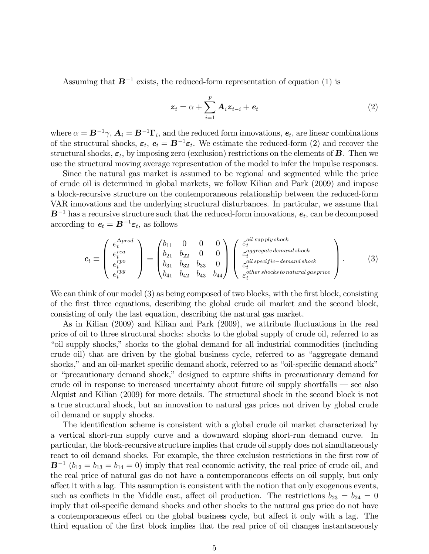Assuming that  $\mathbf{B}^{-1}$  exists, the reduced-form representation of equation (1) is

$$
\boldsymbol{z}_t = \alpha + \sum_{i=1}^p \mathbf{A}_i \boldsymbol{z}_{t-i} + \boldsymbol{e}_t \tag{2}
$$

where  $\alpha = \mathbf{B}^{-1}\gamma$ ,  $\mathbf{A}_i = \mathbf{B}^{-1}\mathbf{\Gamma}_i$ , and the reduced form innovations,  $\mathbf{e}_t$ , are linear combinations of the structural shocks,  $\varepsilon_t$ ,  $e_t = \mathbf{B}^{-1} \varepsilon_t$ . We estimate the reduced-form (2) and recover the structural shocks,  $\varepsilon_t$ , by imposing zero (exclusion) restrictions on the elements of  $\bm{B}$ . Then we use the structural moving average representation of the model to infer the impulse responses.

Since the natural gas market is assumed to be regional and segmented while the price of crude oil is determined in global markets, we follow Kilian and Park (2009) and impose a block-recursive structure on the contemporaneous relationship between the reduced-form VAR innovations and the underlying structural disturbances. In particular, we assume that  $B^{-1}$  has a recursive structure such that the reduced-form innovations,  $e_t$ , can be decomposed according to  $e_t = \boldsymbol{B}^{-1} \boldsymbol{\varepsilon}_t$ , as follows

$$
\boldsymbol{e}_{t} \equiv \begin{pmatrix} e_t^{\Delta prod} \\ e_t^{rea} \\ e_t^{rpo} \\ e_t^{rpg} \end{pmatrix} = \begin{pmatrix} b_{11} & 0 & 0 & 0 \\ b_{21} & b_{22} & 0 & 0 \\ b_{31} & b_{32} & b_{33} & 0 \\ b_{41} & b_{42} & b_{43} & b_{44} \end{pmatrix} \begin{pmatrix} \varepsilon_t^{oil \text{ }supply shock} \\ \varepsilon_t^{aggregate\, demand \text{ }shock} \\ \varepsilon_t^{oil \text{ }specific-demand \text{ }shock} \\ \varepsilon_t^{ol \text{ }bre\text{ }shock\text{ }to natural \text{ }gas\text{ }price} \end{pmatrix} . \tag{3}
$$

We can think of our model  $(3)$  as being composed of two blocks, with the first block, consisting of the Örst three equations, describing the global crude oil market and the second block, consisting of only the last equation, describing the natural gas market.

As in Kilian (2009) and Kilian and Park (2009), we attribute fluctuations in the real price of oil to three structural shocks: shocks to the global supply of crude oil, referred to as ìoil supply shocks,î shocks to the global demand for all industrial commodities (including crude oil) that are driven by the global business cycle, referred to as "aggregate demand" shocks," and an oil-market specific demand shock, referred to as "oil-specific demand shock" or "precautionary demand shock," designed to capture shifts in precautionary demand for crude oil in response to increased uncertainty about future oil supply shortfalls – see also Alquist and Kilian (2009) for more details. The structural shock in the second block is not a true structural shock, but an innovation to natural gas prices not driven by global crude oil demand or supply shocks.

The identification scheme is consistent with a global crude oil market characterized by a vertical short-run supply curve and a downward sloping short-run demand curve. In particular, the block-recursive structure implies that crude oil supply does not simultaneously react to oil demand shocks. For example, the three exclusion restrictions in the first row of  $\mathbf{B}^{-1}$  ( $b_{12} = b_{13} = b_{14} = 0$ ) imply that real economic activity, the real price of crude oil, and the real price of natural gas do not have a contemporaneous effects on oil supply, but only affect it with a lag. This assumption is consistent with the notion that only exogenous events, such as conflicts in the Middle east, affect oil production. The restrictions  $b_{23} = b_{24} = 0$ imply that oil-specific demand shocks and other shocks to the natural gas price do not have a contemporaneous effect on the global business cycle, but affect it only with a lag. The third equation of the first block implies that the real price of oil changes instantaneously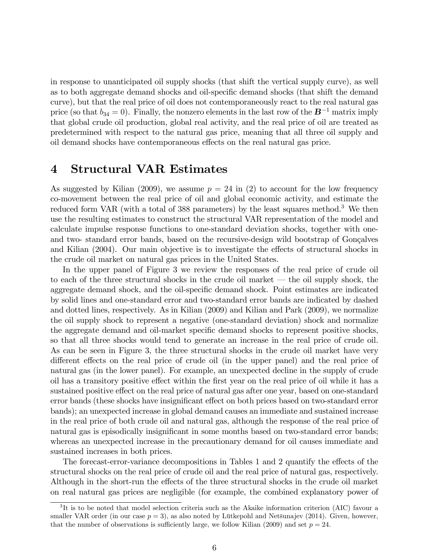in response to unanticipated oil supply shocks (that shift the vertical supply curve), as well as to both aggregate demand shocks and oil-specific demand shocks (that shift the demand curve), but that the real price of oil does not contemporaneously react to the real natural gas price (so that  $b_{34} = 0$ ). Finally, the nonzero elements in the last row of the  $\mathbf{B}^{-1}$  matrix imply that global crude oil production, global real activity, and the real price of oil are treated as predetermined with respect to the natural gas price, meaning that all three oil supply and oil demand shocks have contemporaneous effects on the real natural gas price.

#### 4 Structural VAR Estimates

As suggested by Kilian (2009), we assume  $p = 24$  in (2) to account for the low frequency co-movement between the real price of oil and global economic activity, and estimate the reduced form VAR (with a total of 388 parameters) by the least squares method.<sup>3</sup> We then use the resulting estimates to construct the structural VAR representation of the model and calculate impulse response functions to one-standard deviation shocks, together with oneand two-standard error bands, based on the recursive-design wild bootstrap of Gonçalves and Kilian  $(2004)$ . Our main objective is to investigate the effects of structural shocks in the crude oil market on natural gas prices in the United States.

In the upper panel of Figure 3 we review the responses of the real price of crude oil to each of the three structural shocks in the crude oil market  $-$  the oil supply shock, the aggregate demand shock, and the oil-specific demand shock. Point estimates are indicated by solid lines and one-standard error and two-standard error bands are indicated by dashed and dotted lines, respectively. As in Kilian (2009) and Kilian and Park (2009), we normalize the oil supply shock to represent a negative (one-standard deviation) shock and normalize the aggregate demand and oil-market specific demand shocks to represent positive shocks, so that all three shocks would tend to generate an increase in the real price of crude oil. As can be seen in Figure 3, the three structural shocks in the crude oil market have very different effects on the real price of crude oil (in the upper panel) and the real price of natural gas (in the lower panel). For example, an unexpected decline in the supply of crude oil has a transitory positive effect within the first year on the real price of oil while it has a sustained positive effect on the real price of natural gas after one year, based on one-standard error bands (these shocks have insignificant effect on both prices based on two-standard error bands); an unexpected increase in global demand causes an immediate and sustained increase in the real price of both crude oil and natural gas, although the response of the real price of natural gas is episodically insignificant in some months based on two-standard error bands; whereas an unexpected increase in the precautionary demand for oil causes immediate and sustained increases in both prices.

The forecast-error-variance decompositions in Tables 1 and 2 quantify the effects of the structural shocks on the real price of crude oil and the real price of natural gas, respectively. Although in the short-run the effects of the three structural shocks in the crude oil market on real natural gas prices are negligible (for example, the combined explanatory power of

 ${}^{3}$ It is to be noted that model selection criteria such as the Akaike information criterion (AIC) favour a smaller VAR order (in our case  $p = 3$ ), as also noted by Lütkepohl and Netšunajev (2014). Given, however, that the number of observations is sufficiently large, we follow Kilian (2009) and set  $p = 24$ .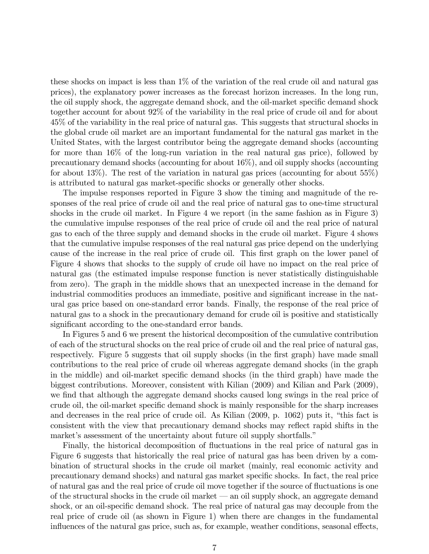these shocks on impact is less than 1% of the variation of the real crude oil and natural gas prices), the explanatory power increases as the forecast horizon increases. In the long run, the oil supply shock, the aggregate demand shock, and the oil-market specific demand shock together account for about 92% of the variability in the real price of crude oil and for about 45% of the variability in the real price of natural gas. This suggests that structural shocks in the global crude oil market are an important fundamental for the natural gas market in the United States, with the largest contributor being the aggregate demand shocks (accounting for more than 16% of the long-run variation in the real natural gas price), followed by precautionary demand shocks (accounting for about 16%), and oil supply shocks (accounting for about 13%). The rest of the variation in natural gas prices (accounting for about  $55\%$ ) is attributed to natural gas market-specific shocks or generally other shocks.

The impulse responses reported in Figure 3 show the timing and magnitude of the responses of the real price of crude oil and the real price of natural gas to one-time structural shocks in the crude oil market. In Figure 4 we report (in the same fashion as in Figure 3) the cumulative impulse responses of the real price of crude oil and the real price of natural gas to each of the three supply and demand shocks in the crude oil market. Figure 4 shows that the cumulative impulse responses of the real natural gas price depend on the underlying cause of the increase in the real price of crude oil. This first graph on the lower panel of Figure 4 shows that shocks to the supply of crude oil have no impact on the real price of natural gas (the estimated impulse response function is never statistically distinguishable from zero). The graph in the middle shows that an unexpected increase in the demand for industrial commodities produces an immediate, positive and significant increase in the natural gas price based on one-standard error bands. Finally, the response of the real price of natural gas to a shock in the precautionary demand for crude oil is positive and statistically significant according to the one-standard error bands.

In Figures 5 and 6 we present the historical decomposition of the cumulative contribution of each of the structural shocks on the real price of crude oil and the real price of natural gas, respectively. Figure 5 suggests that oil supply shocks (in the first graph) have made small contributions to the real price of crude oil whereas aggregate demand shocks (in the graph in the middle) and oil-market specific demand shocks (in the third graph) have made the biggest contributions. Moreover, consistent with Kilian (2009) and Kilian and Park (2009), we find that although the aggregate demand shocks caused long swings in the real price of crude oil, the oil-market specific demand shock is mainly responsible for the sharp increases and decreases in the real price of crude oil. As Kilian  $(2009, p. 1062)$  puts it, "this fact is consistent with the view that precautionary demand shocks may reflect rapid shifts in the market's assessment of the uncertainty about future oil supply shortfalls."

Finally, the historical decomposition of fluctuations in the real price of natural gas in Figure 6 suggests that historically the real price of natural gas has been driven by a combination of structural shocks in the crude oil market (mainly, real economic activity and precautionary demand shocks) and natural gas market specific shocks. In fact, the real price of natural gas and the real price of crude oil move together if the source of fluctuations is one of the structural shocks in the crude oil market  $-\infty$  an oil supply shock, an aggregate demand shock, or an oil-specific demand shock. The real price of natural gas may decouple from the real price of crude oil (as shown in Figure 1) when there are changes in the fundamental influences of the natural gas price, such as, for example, weather conditions, seasonal effects,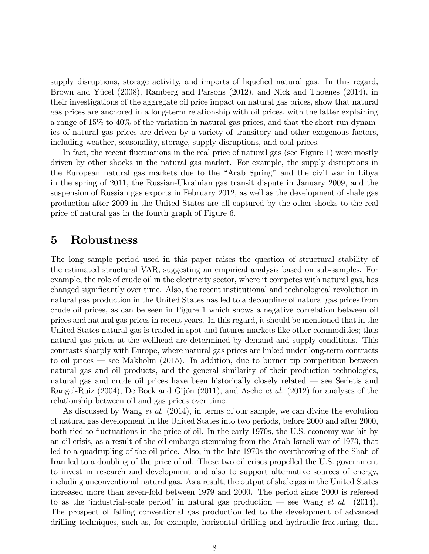supply disruptions, storage activity, and imports of liquefied natural gas. In this regard, Brown and Yücel (2008), Ramberg and Parsons (2012), and Nick and Thoenes (2014), in their investigations of the aggregate oil price impact on natural gas prices, show that natural gas prices are anchored in a long-term relationship with oil prices, with the latter explaining a range of 15% to 40% of the variation in natural gas prices, and that the short-run dynamics of natural gas prices are driven by a variety of transitory and other exogenous factors, including weather, seasonality, storage, supply disruptions, and coal prices.

In fact, the recent fluctuations in the real price of natural gas (see Figure 1) were mostly driven by other shocks in the natural gas market. For example, the supply disruptions in the European natural gas markets due to the "Arab Spring" and the civil war in Libya in the spring of 2011, the Russian-Ukrainian gas transit dispute in January 2009, and the suspension of Russian gas exports in February 2012, as well as the development of shale gas production after 2009 in the United States are all captured by the other shocks to the real price of natural gas in the fourth graph of Figure 6.

#### 5 Robustness

The long sample period used in this paper raises the question of structural stability of the estimated structural VAR, suggesting an empirical analysis based on sub-samples. For example, the role of crude oil in the electricity sector, where it competes with natural gas, has changed significantly over time. Also, the recent institutional and technological revolution in natural gas production in the United States has led to a decoupling of natural gas prices from crude oil prices, as can be seen in Figure 1 which shows a negative correlation between oil prices and natural gas prices in recent years. In this regard, it should be mentioned that in the United States natural gas is traded in spot and futures markets like other commodities; thus natural gas prices at the wellhead are determined by demand and supply conditions. This contrasts sharply with Europe, where natural gas prices are linked under long-term contracts to oil prices  $\sim$  see Makholm (2015). In addition, due to burner tip competition between natural gas and oil products, and the general similarity of their production technologies, natural gas and crude oil prices have been historically closely related  $\sim$  see Serletis and Rangel-Ruiz  $(2004)$ , De Bock and Gijón  $(2011)$ , and Asche *et al.*  $(2012)$  for analyses of the relationship between oil and gas prices over time.

As discussed by Wang *et al.* (2014), in terms of our sample, we can divide the evolution of natural gas development in the United States into two periods, before 2000 and after 2000, both tied to fluctuations in the price of oil. In the early 1970s, the U.S. economy was hit by an oil crisis, as a result of the oil embargo stemming from the Arab-Israeli war of 1973, that led to a quadrupling of the oil price. Also, in the late 1970s the overthrowing of the Shah of Iran led to a doubling of the price of oil. These two oil crises propelled the U.S. government to invest in research and development and also to support alternative sources of energy, including unconventional natural gas. As a result, the output of shale gas in the United States increased more than seven-fold between 1979 and 2000. The period since 2000 is refereed to as the 'industrial-scale period' in natural gas production  $\sim$  see Wang et al. (2014). The prospect of falling conventional gas production led to the development of advanced drilling techniques, such as, for example, horizontal drilling and hydraulic fracturing, that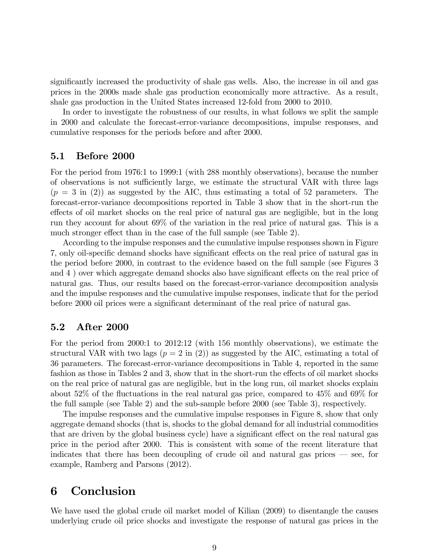significantly increased the productivity of shale gas wells. Also, the increase in oil and gas prices in the 2000s made shale gas production economically more attractive. As a result, shale gas production in the United States increased 12-fold from 2000 to 2010.

In order to investigate the robustness of our results, in what follows we split the sample in 2000 and calculate the forecast-error-variance decompositions, impulse responses, and cumulative responses for the periods before and after 2000.

#### 5.1 Before 2000

For the period from 1976:1 to 1999:1 (with 288 monthly observations), because the number of observations is not sufficiently large, we estimate the structural VAR with three lags  $(p = 3 \text{ in } (2))$  as suggested by the AIC, thus estimating a total of 52 parameters. The forecast-error-variance decompositions reported in Table 3 show that in the short-run the effects of oil market shocks on the real price of natural gas are negligible, but in the long run they account for about 69% of the variation in the real price of natural gas. This is a much stronger effect than in the case of the full sample (see Table 2).

According to the impulse responses and the cumulative impulse responses shown in Figure 7, only oil-specific demand shocks have significant effects on the real price of natural gas in the period before 2000, in contrast to the evidence based on the full sample (see Figures 3 and 4) over which aggregate demand shocks also have significant effects on the real price of natural gas. Thus, our results based on the forecast-error-variance decomposition analysis and the impulse responses and the cumulative impulse responses, indicate that for the period before 2000 oil prices were a significant determinant of the real price of natural gas.

#### 5.2 After 2000

For the period from 2000:1 to 2012:12 (with 156 monthly observations), we estimate the structural VAR with two lags  $(p = 2 \text{ in } (2))$  as suggested by the AIC, estimating a total of 36 parameters. The forecast-error-variance decompositions in Table 4, reported in the same fashion as those in Tables 2 and 3, show that in the short-run the effects of oil market shocks on the real price of natural gas are negligible, but in the long run, oil market shocks explain about 52% of the fluctuations in the real natural gas price, compared to  $45\%$  and  $69\%$  for the full sample (see Table 2) and the sub-sample before 2000 (see Table 3), respectively.

The impulse responses and the cumulative impulse responses in Figure 8, show that only aggregate demand shocks (that is, shocks to the global demand for all industrial commodities that are driven by the global business cycle) have a significant effect on the real natural gas price in the period after 2000. This is consistent with some of the recent literature that indicates that there has been decoupling of crude oil and natural gas prices  $\sim$  see, for example, Ramberg and Parsons (2012).

# 6 Conclusion

We have used the global crude oil market model of Kilian (2009) to disentangle the causes underlying crude oil price shocks and investigate the response of natural gas prices in the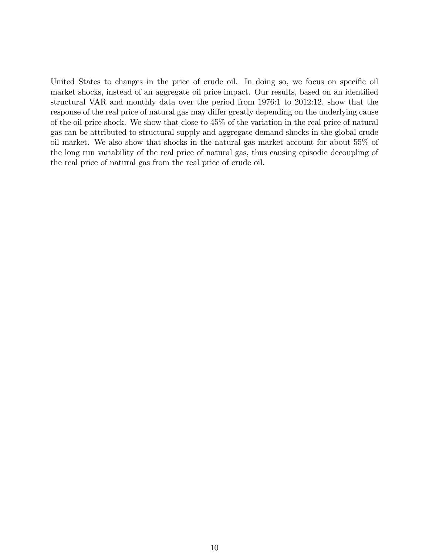United States to changes in the price of crude oil. In doing so, we focus on specific oil market shocks, instead of an aggregate oil price impact. Our results, based on an identified structural VAR and monthly data over the period from 1976:1 to 2012:12, show that the response of the real price of natural gas may differ greatly depending on the underlying cause of the oil price shock. We show that close to 45% of the variation in the real price of natural gas can be attributed to structural supply and aggregate demand shocks in the global crude oil market. We also show that shocks in the natural gas market account for about 55% of the long run variability of the real price of natural gas, thus causing episodic decoupling of the real price of natural gas from the real price of crude oil.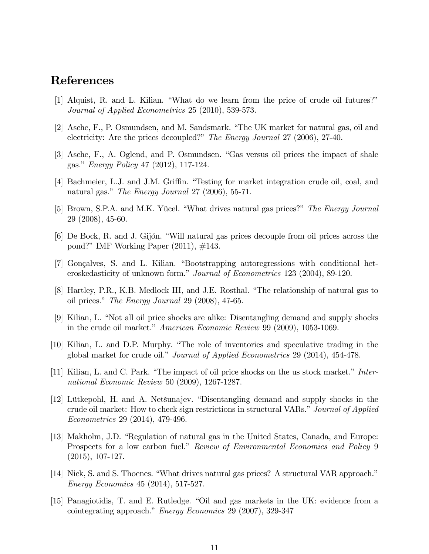## References

- $[1]$  Alquist, R. and L. Kilian. "What do we learn from the price of crude oil futures?" Journal of Applied Econometrics 25 (2010), 539-573.
- [2] Asche, F., P. Osmundsen, and M. Sandsmark. "The UK market for natural gas, oil and electricity: Are the prices decoupled?" The Energy Journal  $27$  (2006), 27-40.
- [3] Asche, F., A. Oglend, and P. Osmundsen. "Gas versus oil prices the impact of shale gas." *Energy Policy* 47 (2012), 117-124.
- [4] Bachmeier, L.J. and J.M. Griffin. "Testing for market integration crude oil, coal, and natural gas." The Energy Journal 27 (2006), 55-71.
- [5] Brown, S.P.A. and M.K. Yücel. "What drives natural gas prices?" The Energy Journal 29 (2008), 45-60.
- [6] De Bock, R. and J. Gijón. "Will natural gas prices decouple from oil prices across the pond?" IMF Working Paper  $(2011)$ ,  $\#143$ .
- [7] Gonçalves, S. and L. Kilian. "Bootstrapping autoregressions with conditional heteroskedasticity of unknown form." Journal of Econometrics 123 (2004), 89-120.
- [8] Hartley, P.R., K.B. Medlock III, and J.E. Rosthal. "The relationship of natural gas to oil prices." The Energy Journal 29  $(2008)$ , 47-65.
- [9] Kilian, L. "Not all oil price shocks are alike: Disentangling demand and supply shocks in the crude oil market." American Economic Review 99 (2009), 1053-1069.
- [10] Kilian, L. and D.P. Murphy. "The role of inventories and speculative trading in the global market for crude oil." Journal of Applied Econometrics 29 (2014), 454-478.
- [11] Kilian, L. and C. Park. "The impact of oil price shocks on the us stock market." International Economic Review 50 (2009), 1267-1287.
- [12] Lütkepohl, H. and A. Netšunajev. "Disentangling demand and supply shocks in the crude oil market: How to check sign restrictions in structural VARs." Journal of Applied Econometrics 29 (2014), 479-496.
- [13] Makholm, J.D. "Regulation of natural gas in the United States, Canada, and Europe: Prospects for a low carbon fuel." Review of Environmental Economics and Policy 9 (2015), 107-127.
- [14] Nick, S. and S. Thoenes. "What drives natural gas prices? A structural VAR approach." Energy Economics 45 (2014), 517-527.
- [15] Panagiotidis, T. and E. Rutledge. "Oil and gas markets in the UK: evidence from a cointegrating approach." *Energy Economics* 29 (2007), 329-347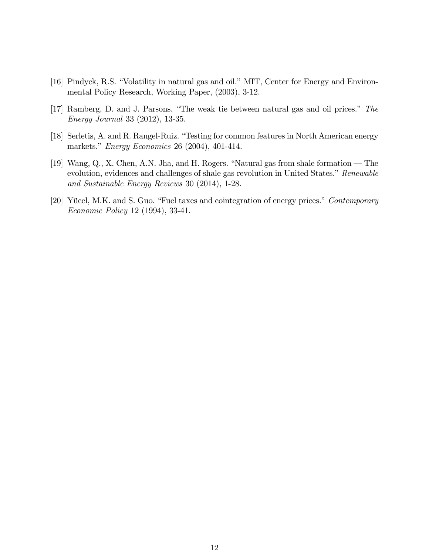- [16] Pindyck, R.S. "Volatility in natural gas and oil." MIT, Center for Energy and Environmental Policy Research, Working Paper, (2003), 3-12.
- [17] Ramberg, D. and J. Parsons. "The weak tie between natural gas and oil prices." The Energy Journal 33 (2012), 13-35.
- [18] Serletis, A. and R. Rangel-Ruiz. "Testing for common features in North American energy markets." Energy Economics 26 (2004), 401-414.
- [19] Wang, Q., X. Chen, A.N. Jha, and H. Rogers. "Natural gas from shale formation  $-$  The evolution, evidences and challenges of shale gas revolution in United States." Renewable and Sustainable Energy Reviews 30 (2014), 1-28.
- [20] Yücel, M.K. and S. Guo. "Fuel taxes and cointegration of energy prices." Contemporary Economic Policy 12 (1994), 33-41.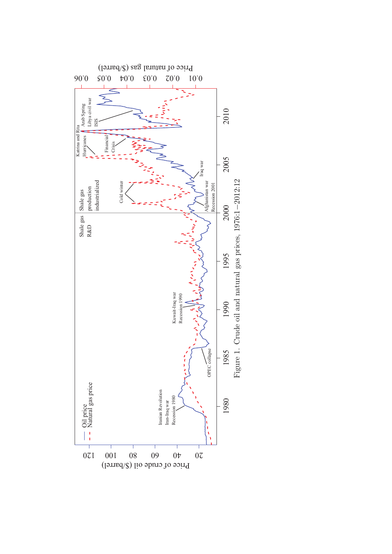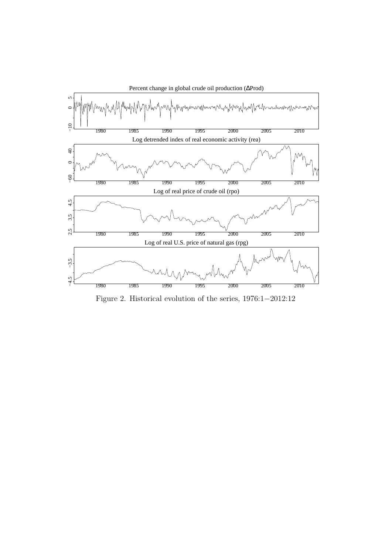

Figure 2. Historical evolution of the series, 1976:1−2012:12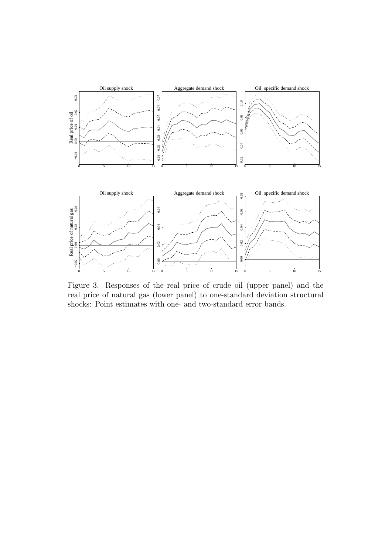

Figure 3. Responses of the real price of crude oil (upper panel) and the real price of natural gas (lower panel) to one-standard deviation structural shocks: Point estimates with one- and two-standard error bands.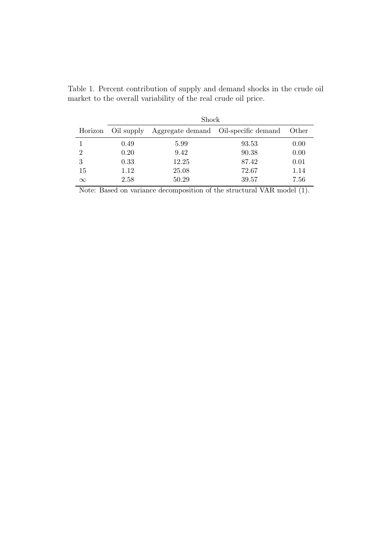|                | Shock |       |                                                 |       |
|----------------|-------|-------|-------------------------------------------------|-------|
| Horizon        |       |       | Oil supply Aggregate demand Oil-specific demand | Other |
|                | 0.49  | 5.99  | 93.53                                           | 0.00  |
| $\overline{2}$ | 0.20  | 9.42  | 90.38                                           | 0.00  |
| 3              | 0.33  | 12.25 | 87.42                                           | 0.01  |
| 15             | 1.12  | 25.08 | 72.67                                           | 1.14  |
| $\infty$       | 2.58  | 50.29 | 39.57                                           | 7.56  |

Table 1. Percent contribution of supply and demand shocks in the crude oil market to the overall variability of the real crude oil price.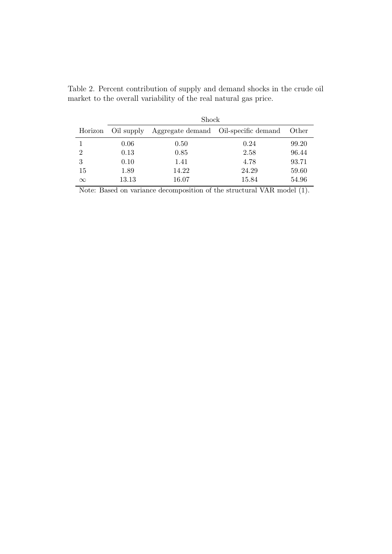|                | Shock |       |                                                 |       |
|----------------|-------|-------|-------------------------------------------------|-------|
| Horizon        |       |       | Oil supply Aggregate demand Oil-specific demand | Other |
|                | 0.06  | 0.50  | 0.24                                            | 99.20 |
| $\overline{2}$ | 0.13  | 0.85  | 2.58                                            | 96.44 |
| 3              | 0.10  | 1.41  | 4.78                                            | 93.71 |
| 15             | 1.89  | 14.22 | 24.29                                           | 59.60 |
| $\infty$       | 13.13 | 16.07 | 15.84                                           | 54.96 |

Table 2. Percent contribution of supply and demand shocks in the crude oil market to the overall variability of the real natural gas price.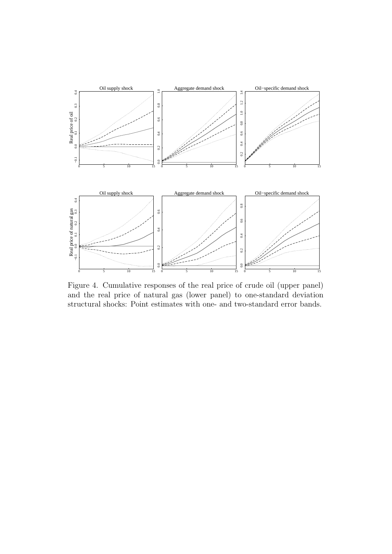

Figure 4. Cumulative responses of the real price of crude oil (upper panel) and the real price of natural gas (lower panel) to one-standard deviation structural shocks: Point estimates with one- and two-standard error bands.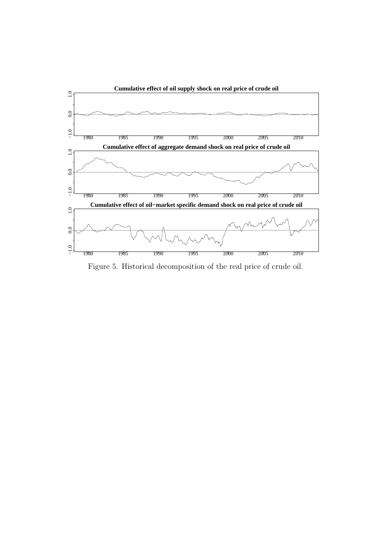

Figure 5. Historical decomposition of the real price of crude oil.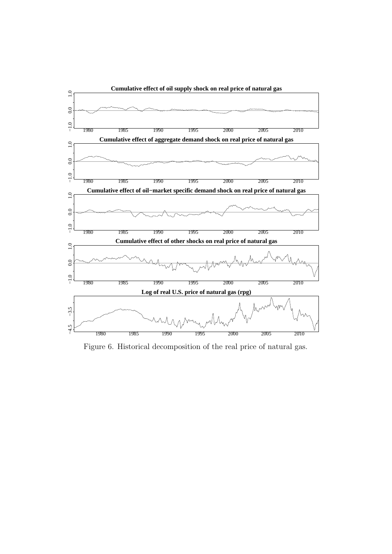

Figure 6. Historical decomposition of the real price of natural gas.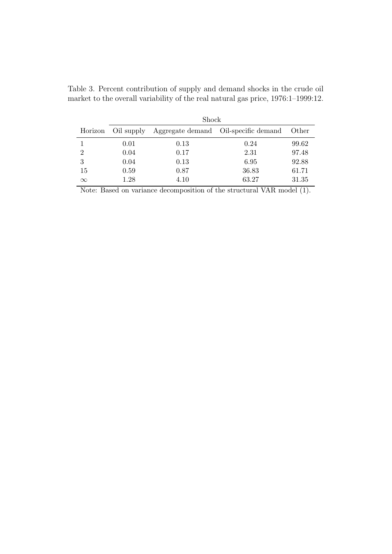|                | Shock |      |                                                 |              |
|----------------|-------|------|-------------------------------------------------|--------------|
| Horizon        |       |      | Oil supply Aggregate demand Oil-specific demand | <b>Other</b> |
|                | 0.01  | 0.13 | 0.24                                            | 99.62        |
| $\overline{2}$ | 0.04  | 0.17 | 2.31                                            | 97.48        |
| 3              | 0.04  | 0.13 | 6.95                                            | 92.88        |
| 15             | 0.59  | 0.87 | 36.83                                           | 61.71        |
| $\infty$       | 1.28  | 4.10 | 63.27                                           | 31.35        |

Table 3. Percent contribution of supply and demand shocks in the crude oil market to the overall variability of the real natural gas price, 1976:1–1999:12.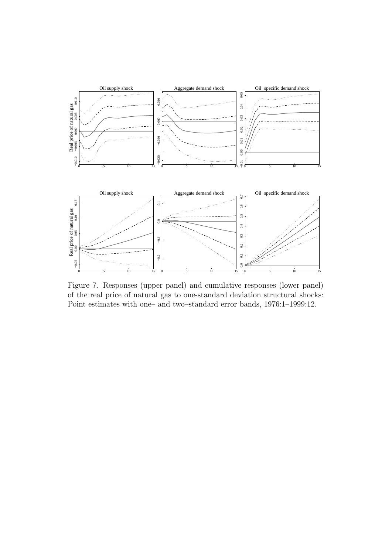

Figure 7. Responses (upper panel) and cumulative responses (lower panel) of the real price of natural gas to one-standard deviation structural shocks: Point estimates with one– and two–standard error bands, 1976:1–1999:12.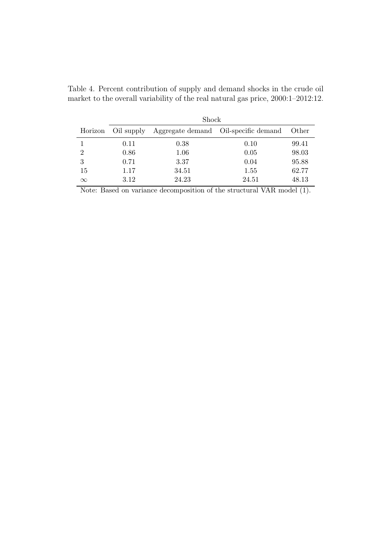|                | Shock |       |                                                 |              |
|----------------|-------|-------|-------------------------------------------------|--------------|
| Horizon        |       |       | Oil supply Aggregate demand Oil-specific demand | <b>Other</b> |
|                | 0.11  | 0.38  | 0.10                                            | 99.41        |
| $\overline{2}$ | 0.86  | 1.06  | 0.05                                            | 98.03        |
| 3              | 0.71  | 3.37  | 0.04                                            | 95.88        |
| 15             | 1.17  | 34.51 | 1.55                                            | 62.77        |
| $\infty$       | 3.12  | 24.23 | 24.51                                           | 48.13        |

Table 4. Percent contribution of supply and demand shocks in the crude oil market to the overall variability of the real natural gas price, 2000:1–2012:12.